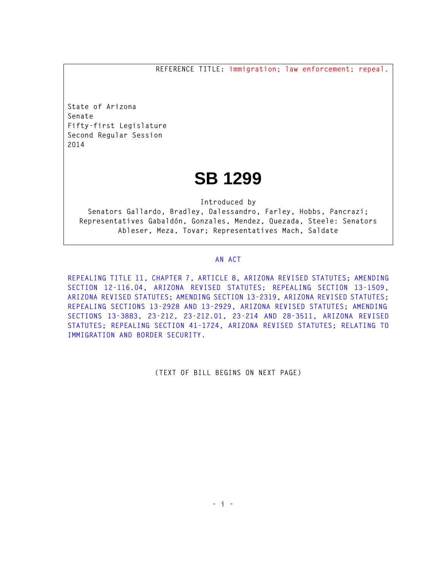**REFERENCE TITLE: immigration; law enforcement; repeal.**

**State of Arizona Senate Fifty-first Legislature Second Regular Session 2014** 

## **SB 1299**

**Introduced by** 

**Senators Gallardo, Bradley, Dalessandro, Farley, Hobbs, Pancrazi; Representatives Gabaldón, Gonzales, Mendez, Quezada, Steele: Senators Ableser, Meza, Tovar; Representatives Mach, Saldate** 

## **AN ACT**

**REPEALING TITLE 11, CHAPTER 7, ARTICLE 8, ARIZONA REVISED STATUTES; AMENDING SECTION 12-116.04, ARIZONA REVISED STATUTES; REPEALING SECTION 13-1509, ARIZONA REVISED STATUTES; AMENDING SECTION 13-2319, ARIZONA REVISED STATUTES; REPEALING SECTIONS 13-2928 AND 13-2929, ARIZONA REVISED STATUTES; AMENDING SECTIONS 13-3883, 23-212, 23-212.01, 23-214 AND 28-3511, ARIZONA REVISED STATUTES; REPEALING SECTION 41-1724, ARIZONA REVISED STATUTES; RELATING TO IMMIGRATION AND BORDER SECURITY.** 

**(TEXT OF BILL BEGINS ON NEXT PAGE)**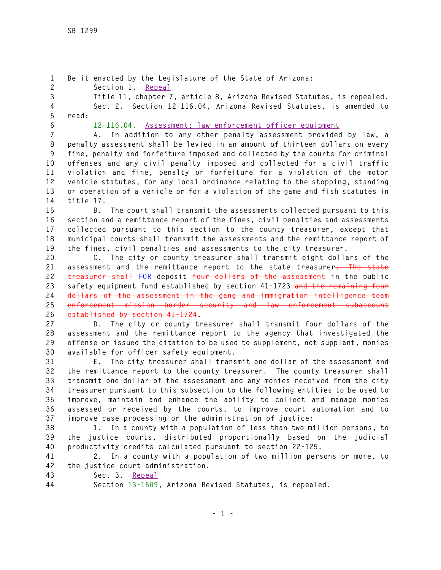**1 Be it enacted by the Legislature of the State of Arizona: 2 Section 1. Repeal 3 Title 11, chapter 7, article 8, Arizona Revised Statutes, is repealed. 4 Sec. 2. Section 12-116.04, Arizona Revised Statutes, is amended to 5 read:** 

**6 12-116.04. Assessment; law enforcement officer equipment**

**7 A. In addition to any other penalty assessment provided by law, a 8 penalty assessment shall be levied in an amount of thirteen dollars on every 9 fine, penalty and forfeiture imposed and collected by the courts for criminal 10 offenses and any civil penalty imposed and collected for a civil traffic 11 violation and fine, penalty or forfeiture for a violation of the motor 12 vehicle statutes, for any local ordinance relating to the stopping, standing 13 or operation of a vehicle or for a violation of the game and fish statutes in 14 title 17.** 

**15 B. The court shall transmit the assessments collected pursuant to this 16 section and a remittance report of the fines, civil penalties and assessments 17 collected pursuant to this section to the county treasurer, except that 18 municipal courts shall transmit the assessments and the remittance report of 19 the fines, civil penalties and assessments to the city treasurer.** 

**20 C. The city or county treasurer shall transmit eight dollars of the 21 assessment and the remittance report to the state treasurer. The state 22 treasurer shall FOR deposit four dollars of the assessment in the public 23 safety equipment fund established by section 41-1723 and the remaining four 24 dollars of the assessment in the gang and immigration intelligence team 25 enforcement mission border security and law enforcement subaccount 26 established by section 41-1724.** 

**27 D. The city or county treasurer shall transmit four dollars of the 28 assessment and the remittance report to the agency that investigated the 29 offense or issued the citation to be used to supplement, not supplant, monies 30 available for officer safety equipment.** 

**31 E. The city treasurer shall transmit one dollar of the assessment and 32 the remittance report to the county treasurer. The county treasurer shall 33 transmit one dollar of the assessment and any monies received from the city 34 treasurer pursuant to this subsection to the following entities to be used to 35 improve, maintain and enhance the ability to collect and manage monies 36 assessed or received by the courts, to improve court automation and to 37 improve case processing or the administration of justice:** 

**38 1. In a county with a population of less than two million persons, to 39 the justice courts, distributed proportionally based on the judicial 40 productivity credits calculated pursuant to section 22-125.** 

**41 2. In a county with a population of two million persons or more, to 42 the justice court administration.** 

**43 Sec. 3. Repeal**

**44 Section 13-1509, Arizona Revised Statutes, is repealed.**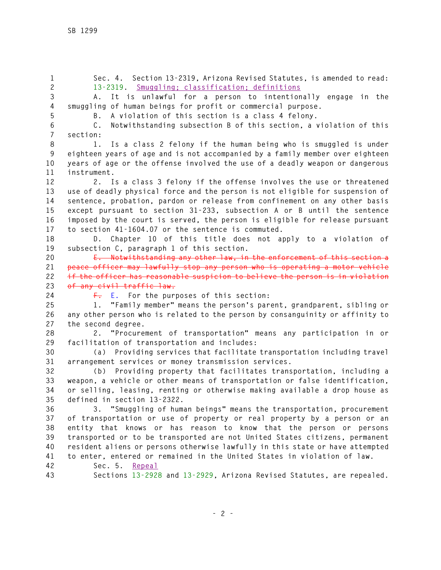**1 Sec. 4. Section 13-2319, Arizona Revised Statutes, is amended to read: 2 13-2319. Smuggling; classification; definitions** 

**3 A. It is unlawful for a person to intentionally engage in the 4 smuggling of human beings for profit or commercial purpose.** 

**5 B. A violation of this section is a class 4 felony.** 

**6 C. Notwithstanding subsection B of this section, a violation of this 7 section:** 

**8 1. Is a class 2 felony if the human being who is smuggled is under 9 eighteen years of age and is not accompanied by a family member over eighteen 10 years of age or the offense involved the use of a deadly weapon or dangerous 11 instrument.** 

**12 2. Is a class 3 felony if the offense involves the use or threatened 13 use of deadly physical force and the person is not eligible for suspension of 14 sentence, probation, pardon or release from confinement on any other basis 15 except pursuant to section 31-233, subsection A or B until the sentence 16 imposed by the court is served, the person is eligible for release pursuant 17 to section 41-1604.07 or the sentence is commuted.** 

**18 D. Chapter 10 of this title does not apply to a violation of 19 subsection C, paragraph 1 of this section.** 

**20 E. Notwithstanding any other law, in the enforcement of this section a 21 peace officer may lawfully stop any person who is operating a motor vehicle 22 if the officer has reasonable suspicion to believe the person is in violation 23 of any civil traffic law.** 

**24 F. E. For the purposes of this section:** 

**25 1. "Family member" means the person's parent, grandparent, sibling or 26 any other person who is related to the person by consanguinity or affinity to 27 the second degree.** 

**28 2. "Procurement of transportation" means any participation in or 29 facilitation of transportation and includes:** 

**30 (a) Providing services that facilitate transportation including travel 31 arrangement services or money transmission services.** 

**32 (b) Providing property that facilitates transportation, including a 33 weapon, a vehicle or other means of transportation or false identification, 34 or selling, leasing, renting or otherwise making available a drop house as 35 defined in section 13-2322.** 

**36 3. "Smuggling of human beings" means the transportation, procurement 37 of transportation or use of property or real property by a person or an 38 entity that knows or has reason to know that the person or persons 39 transported or to be transported are not United States citizens, permanent 40 resident aliens or persons otherwise lawfully in this state or have attempted 41 to enter, entered or remained in the United States in violation of law.** 

- **42 Sec. 5. Repeal**
- 

**43 Sections 13-2928 and 13-2929, Arizona Revised Statutes, are repealed.**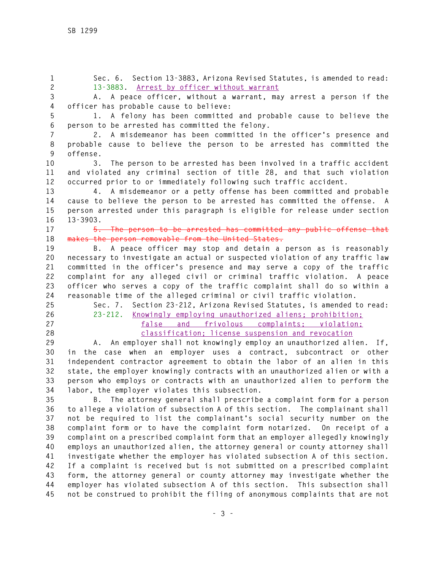**1 Sec. 6. Section 13-3883, Arizona Revised Statutes, is amended to read: 2 13-3883. Arrest by officer without warrant 3 A. A peace officer, without a warrant, may arrest a person if the 4 officer has probable cause to believe: 5 1. A felony has been committed and probable cause to believe the 6 person to be arrested has committed the felony. 7 2. A misdemeanor has been committed in the officer's presence and 8 probable cause to believe the person to be arrested has committed the 9 offense. 10 3. The person to be arrested has been involved in a traffic accident 11 and violated any criminal section of title 28, and that such violation 12 occurred prior to or immediately following such traffic accident. 13 4. A misdemeanor or a petty offense has been committed and probable 14 cause to believe the person to be arrested has committed the offense. A 15 person arrested under this paragraph is eligible for release under section 16 13-3903. 17 5. The person to be arrested has committed any public offense that 18 makes the person removable from the United States. 19 B. A peace officer may stop and detain a person as is reasonably 20 necessary to investigate an actual or suspected violation of any traffic law 21 committed in the officer's presence and may serve a copy of the traffic 22 complaint for any alleged civil or criminal traffic violation. A peace 23 officer who serves a copy of the traffic complaint shall do so within a 24 reasonable time of the alleged criminal or civil traffic violation. 25 Sec. 7. Section 23-212, Arizona Revised Statutes, is amended to read: 26 23-212. Knowingly employing unauthorized aliens; prohibition;** 

**27 false and frivolous complaints; violation; 28 classification; license suspension and revocation**

**29 A. An employer shall not knowingly employ an unauthorized alien. If, 30 in the case when an employer uses a contract, subcontract or other 31 independent contractor agreement to obtain the labor of an alien in this 32 state, the employer knowingly contracts with an unauthorized alien or with a 33 person who employs or contracts with an unauthorized alien to perform the 34 labor, the employer violates this subsection.** 

**35 B. The attorney general shall prescribe a complaint form for a person 36 to allege a violation of subsection A of this section. The complainant shall 37 not be required to list the complainant's social security number on the 38 complaint form or to have the complaint form notarized. On receipt of a 39 complaint on a prescribed complaint form that an employer allegedly knowingly 40 employs an unauthorized alien, the attorney general or county attorney shall 41 investigate whether the employer has violated subsection A of this section. 42 If a complaint is received but is not submitted on a prescribed complaint 43 form, the attorney general or county attorney may investigate whether the 44 employer has violated subsection A of this section. This subsection shall 45 not be construed to prohibit the filing of anonymous complaints that are not**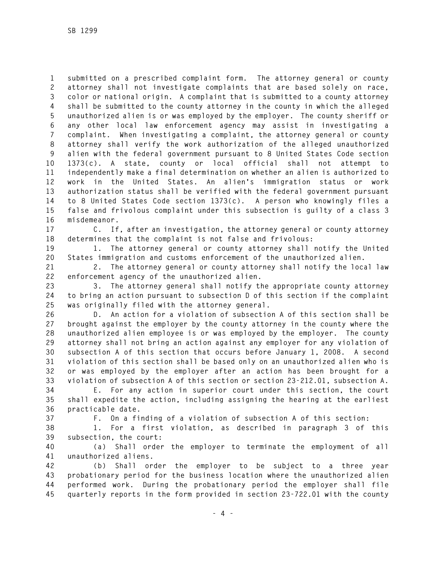**1 submitted on a prescribed complaint form. The attorney general or county 2 attorney shall not investigate complaints that are based solely on race, 3 color or national origin. A complaint that is submitted to a county attorney 4 shall be submitted to the county attorney in the county in which the alleged 5 unauthorized alien is or was employed by the employer. The county sheriff or 6 any other local law enforcement agency may assist in investigating a 7 complaint. When investigating a complaint, the attorney general or county 8 attorney shall verify the work authorization of the alleged unauthorized 9 alien with the federal government pursuant to 8 United States Code section 10 1373(c). A state, county or local official shall not attempt to 11 independently make a final determination on whether an alien is authorized to 12 work in the United States. An alien's immigration status or work 13 authorization status shall be verified with the federal government pursuant 14 to 8 United States Code section 1373(c). A person who knowingly files a 15 false and frivolous complaint under this subsection is guilty of a class 3 16 misdemeanor.** 

**17 C. If, after an investigation, the attorney general or county attorney 18 determines that the complaint is not false and frivolous:** 

**19 1. The attorney general or county attorney shall notify the United 20 States immigration and customs enforcement of the unauthorized alien.** 

**21 2. The attorney general or county attorney shall notify the local law 22 enforcement agency of the unauthorized alien.** 

**23 3. The attorney general shall notify the appropriate county attorney 24 to bring an action pursuant to subsection D of this section if the complaint 25 was originally filed with the attorney general.** 

**26 D. An action for a violation of subsection A of this section shall be 27 brought against the employer by the county attorney in the county where the 28 unauthorized alien employee is or was employed by the employer. The county 29 attorney shall not bring an action against any employer for any violation of 30 subsection A of this section that occurs before January 1, 2008. A second 31 violation of this section shall be based only on an unauthorized alien who is 32 or was employed by the employer after an action has been brought for a 33 violation of subsection A of this section or section 23-212.01, subsection A.** 

**34 E. For any action in superior court under this section, the court 35 shall expedite the action, including assigning the hearing at the earliest 36 practicable date.** 

**37 F. On a finding of a violation of subsection A of this section:** 

**38 1. For a first violation, as described in paragraph 3 of this 39 subsection, the court:** 

**40 (a) Shall order the employer to terminate the employment of all 41 unauthorized aliens.** 

**42 (b) Shall order the employer to be subject to a three year 43 probationary period for the business location where the unauthorized alien 44 performed work. During the probationary period the employer shall file 45 quarterly reports in the form provided in section 23-722.01 with the county**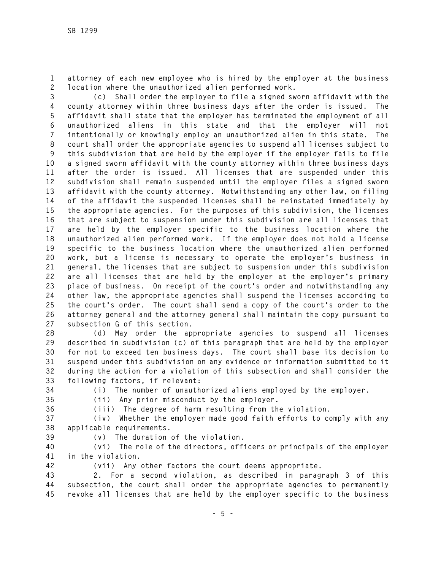**1 attorney of each new employee who is hired by the employer at the business 2 location where the unauthorized alien performed work.** 

**3 (c) Shall order the employer to file a signed sworn affidavit with the 4 county attorney within three business days after the order is issued. The 5 affidavit shall state that the employer has terminated the employment of all 6 unauthorized aliens in this state and that the employer will not 7 intentionally or knowingly employ an unauthorized alien in this state. The 8 court shall order the appropriate agencies to suspend all licenses subject to 9 this subdivision that are held by the employer if the employer fails to file 10 a signed sworn affidavit with the county attorney within three business days 11 after the order is issued. All licenses that are suspended under this 12 subdivision shall remain suspended until the employer files a signed sworn 13 affidavit with the county attorney. Notwithstanding any other law, on filing 14 of the affidavit the suspended licenses shall be reinstated immediately by 15 the appropriate agencies. For the purposes of this subdivision, the licenses 16 that are subject to suspension under this subdivision are all licenses that 17 are held by the employer specific to the business location where the 18 unauthorized alien performed work. If the employer does not hold a license 19 specific to the business location where the unauthorized alien performed 20 work, but a license is necessary to operate the employer's business in 21 general, the licenses that are subject to suspension under this subdivision 22 are all licenses that are held by the employer at the employer's primary 23 place of business. On receipt of the court's order and notwithstanding any 24 other law, the appropriate agencies shall suspend the licenses according to 25 the court's order. The court shall send a copy of the court's order to the 26 attorney general and the attorney general shall maintain the copy pursuant to 27 subsection G of this section.** 

**28 (d) May order the appropriate agencies to suspend all licenses 29 described in subdivision (c) of this paragraph that are held by the employer 30 for not to exceed ten business days. The court shall base its decision to 31 suspend under this subdivision on any evidence or information submitted to it 32 during the action for a violation of this subsection and shall consider the 33 following factors, if relevant:** 

**34 (i) The number of unauthorized aliens employed by the employer.** 

**35 (ii) Any prior misconduct by the employer.** 

**36 (iii) The degree of harm resulting from the violation.** 

**37 (iv) Whether the employer made good faith efforts to comply with any 38 applicable requirements.** 

**39 (v) The duration of the violation.** 

**40 (vi) The role of the directors, officers or principals of the employer 41 in the violation.** 

**42 (vii) Any other factors the court deems appropriate.** 

**43 2. For a second violation, as described in paragraph 3 of this 44 subsection, the court shall order the appropriate agencies to permanently 45 revoke all licenses that are held by the employer specific to the business**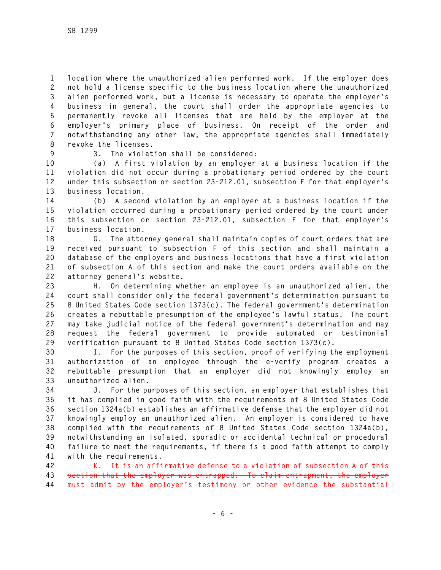**1 location where the unauthorized alien performed work. If the employer does 2 not hold a license specific to the business location where the unauthorized 3 alien performed work, but a license is necessary to operate the employer's 4 business in general, the court shall order the appropriate agencies to 5 permanently revoke all licenses that are held by the employer at the 6 employer's primary place of business. On receipt of the order and 7 notwithstanding any other law, the appropriate agencies shall immediately 8 revoke the licenses.** 

**9 3. The violation shall be considered:** 

**10 (a) A first violation by an employer at a business location if the 11 violation did not occur during a probationary period ordered by the court 12 under this subsection or section 23-212.01, subsection F for that employer's 13 business location.** 

**14 (b) A second violation by an employer at a business location if the 15 violation occurred during a probationary period ordered by the court under 16 this subsection or section 23-212.01, subsection F for that employer's 17 business location.** 

**18 G. The attorney general shall maintain copies of court orders that are 19 received pursuant to subsection F of this section and shall maintain a 20 database of the employers and business locations that have a first violation 21 of subsection A of this section and make the court orders available on the 22 attorney general's website.** 

**23 H. On determining whether an employee is an unauthorized alien, the 24 court shall consider only the federal government's determination pursuant to 25 8 United States Code section 1373(c). The federal government's determination 26 creates a rebuttable presumption of the employee's lawful status. The court 27 may take judicial notice of the federal government's determination and may 28 request the federal government to provide automated or testimonial 29 verification pursuant to 8 United States Code section 1373(c).** 

**30 I. For the purposes of this section, proof of verifying the employment 31 authorization of an employee through the e-verify program creates a 32 rebuttable presumption that an employer did not knowingly employ an 33 unauthorized alien.** 

**34 J. For the purposes of this section, an employer that establishes that 35 it has complied in good faith with the requirements of 8 United States Code 36 section 1324a(b) establishes an affirmative defense that the employer did not 37 knowingly employ an unauthorized alien. An employer is considered to have 38 complied with the requirements of 8 United States Code section 1324a(b), 39 notwithstanding an isolated, sporadic or accidental technical or procedural 40 failure to meet the requirements, if there is a good faith attempt to comply 41 with the requirements.** 

**42 K. It is an affirmative defense to a violation of subsection A of this 43 section that the employer was entrapped. To claim entrapment, the employer 44 must admit by the employer's testimony or other evidence the substantial**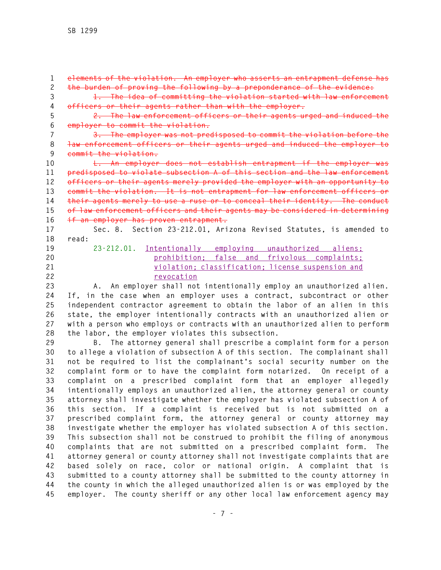**1 elements of the violation. An employer who asserts an entrapment defense has 2 the burden of proving the following by a preponderance of the evidence:** 

**3 1. The idea of committing the violation started with law enforcement 4 officers or their agents rather than with the employer.** 

**5 2. The law enforcement officers or their agents urged and induced the 6 employer to commit the violation.** 

**7 3. The employer was not predisposed to commit the violation before the 8 law enforcement officers or their agents urged and induced the employer to 9 commit the violation.** 

**10 L. An employer does not establish entrapment if the employer was 11 predisposed to violate subsection A of this section and the law enforcement 12 officers or their agents merely provided the employer with an opportunity to 13 commit the violation. It is not entrapment for law enforcement officers or 14 their agents merely to use a ruse or to conceal their identity. The conduct 15 of law enforcement officers and their agents may be considered in determining 16 if an employer has proven entrapment.** 

**17 Sec. 8. Section 23-212.01, Arizona Revised Statutes, is amended to 18 read:** 

**19 23-212.01. Intentionally employing unauthorized aliens; 20 prohibition; false and frivolous complaints; 21 violation; classification; license suspension and 22 revocation**

**23 A. An employer shall not intentionally employ an unauthorized alien. 24 If, in the case when an employer uses a contract, subcontract or other 25 independent contractor agreement to obtain the labor of an alien in this 26 state, the employer intentionally contracts with an unauthorized alien or 27 with a person who employs or contracts with an unauthorized alien to perform 28 the labor, the employer violates this subsection.** 

**29 B. The attorney general shall prescribe a complaint form for a person 30 to allege a violation of subsection A of this section. The complainant shall 31 not be required to list the complainant's social security number on the 32 complaint form or to have the complaint form notarized. On receipt of a 33 complaint on a prescribed complaint form that an employer allegedly 34 intentionally employs an unauthorized alien, the attorney general or county 35 attorney shall investigate whether the employer has violated subsection A of 36 this section. If a complaint is received but is not submitted on a 37 prescribed complaint form, the attorney general or county attorney may 38 investigate whether the employer has violated subsection A of this section. 39 This subsection shall not be construed to prohibit the filing of anonymous 40 complaints that are not submitted on a prescribed complaint form. The 41 attorney general or county attorney shall not investigate complaints that are 42 based solely on race, color or national origin. A complaint that is 43 submitted to a county attorney shall be submitted to the county attorney in 44 the county in which the alleged unauthorized alien is or was employed by the 45 employer. The county sheriff or any other local law enforcement agency may**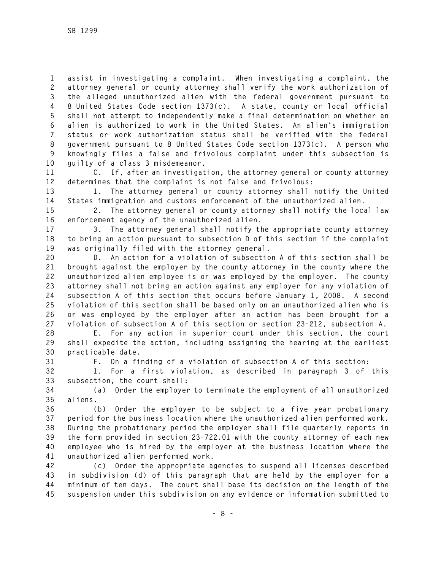**1 assist in investigating a complaint. When investigating a complaint, the 2 attorney general or county attorney shall verify the work authorization of 3 the alleged unauthorized alien with the federal government pursuant to 4 8 United States Code section 1373(c). A state, county or local official 5 shall not attempt to independently make a final determination on whether an 6 alien is authorized to work in the United States. An alien's immigration 7 status or work authorization status shall be verified with the federal 8 government pursuant to 8 United States Code section 1373(c). A person who 9 knowingly files a false and frivolous complaint under this subsection is 10 guilty of a class 3 misdemeanor.** 

**11 C. If, after an investigation, the attorney general or county attorney 12 determines that the complaint is not false and frivolous:** 

**13 1. The attorney general or county attorney shall notify the United 14 States immigration and customs enforcement of the unauthorized alien.** 

**15 2. The attorney general or county attorney shall notify the local law 16 enforcement agency of the unauthorized alien.** 

**17 3. The attorney general shall notify the appropriate county attorney 18 to bring an action pursuant to subsection D of this section if the complaint 19 was originally filed with the attorney general.** 

**20 D. An action for a violation of subsection A of this section shall be 21 brought against the employer by the county attorney in the county where the 22 unauthorized alien employee is or was employed by the employer. The county 23 attorney shall not bring an action against any employer for any violation of 24 subsection A of this section that occurs before January 1, 2008. A second 25 violation of this section shall be based only on an unauthorized alien who is 26 or was employed by the employer after an action has been brought for a 27 violation of subsection A of this section or section 23-212, subsection A.** 

**28 E. For any action in superior court under this section, the court 29 shall expedite the action, including assigning the hearing at the earliest 30 practicable date.** 

**31 F. On a finding of a violation of subsection A of this section:** 

**32 1. For a first violation, as described in paragraph 3 of this 33 subsection, the court shall:** 

**34 (a) Order the employer to terminate the employment of all unauthorized 35 aliens.** 

**36 (b) Order the employer to be subject to a five year probationary 37 period for the business location where the unauthorized alien performed work. 38 During the probationary period the employer shall file quarterly reports in 39 the form provided in section 23-722.01 with the county attorney of each new 40 employee who is hired by the employer at the business location where the 41 unauthorized alien performed work.** 

**42 (c) Order the appropriate agencies to suspend all licenses described 43 in subdivision (d) of this paragraph that are held by the employer for a 44 minimum of ten days. The court shall base its decision on the length of the 45 suspension under this subdivision on any evidence or information submitted to**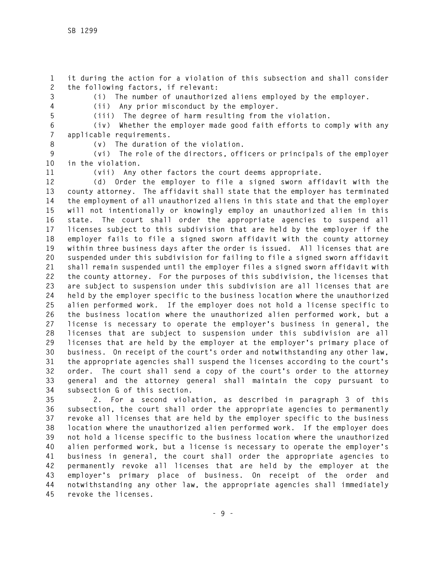**1 it during the action for a violation of this subsection and shall consider 2 the following factors, if relevant:** 

**3 (i) The number of unauthorized aliens employed by the employer.** 

- 
- 

**4 (ii) Any prior misconduct by the employer.** 

**5 (iii) The degree of harm resulting from the violation.** 

**6 (iv) Whether the employer made good faith efforts to comply with any 7 applicable requirements.** 

**8 (v) The duration of the violation.** 

**9 (vi) The role of the directors, officers or principals of the employer 10 in the violation.** 

**11 (vii) Any other factors the court deems appropriate.** 

**12 (d) Order the employer to file a signed sworn affidavit with the 13 county attorney. The affidavit shall state that the employer has terminated 14 the employment of all unauthorized aliens in this state and that the employer 15 will not intentionally or knowingly employ an unauthorized alien in this 16 state. The court shall order the appropriate agencies to suspend all 17 licenses subject to this subdivision that are held by the employer if the 18 employer fails to file a signed sworn affidavit with the county attorney 19 within three business days after the order is issued. All licenses that are 20 suspended under this subdivision for failing to file a signed sworn affidavit 21 shall remain suspended until the employer files a signed sworn affidavit with 22 the county attorney. For the purposes of this subdivision, the licenses that 23 are subject to suspension under this subdivision are all licenses that are 24 held by the employer specific to the business location where the unauthorized 25 alien performed work. If the employer does not hold a license specific to 26 the business location where the unauthorized alien performed work, but a 27 license is necessary to operate the employer's business in general, the 28 licenses that are subject to suspension under this subdivision are all 29 licenses that are held by the employer at the employer's primary place of 30 business. On receipt of the court's order and notwithstanding any other law, 31 the appropriate agencies shall suspend the licenses according to the court's 32 order. The court shall send a copy of the court's order to the attorney 33 general and the attorney general shall maintain the copy pursuant to 34 subsection G of this section.** 

**35 2. For a second violation, as described in paragraph 3 of this 36 subsection, the court shall order the appropriate agencies to permanently 37 revoke all licenses that are held by the employer specific to the business 38 location where the unauthorized alien performed work. If the employer does 39 not hold a license specific to the business location where the unauthorized 40 alien performed work, but a license is necessary to operate the employer's 41 business in general, the court shall order the appropriate agencies to 42 permanently revoke all licenses that are held by the employer at the 43 employer's primary place of business. On receipt of the order and 44 notwithstanding any other law, the appropriate agencies shall immediately 45 revoke the licenses.**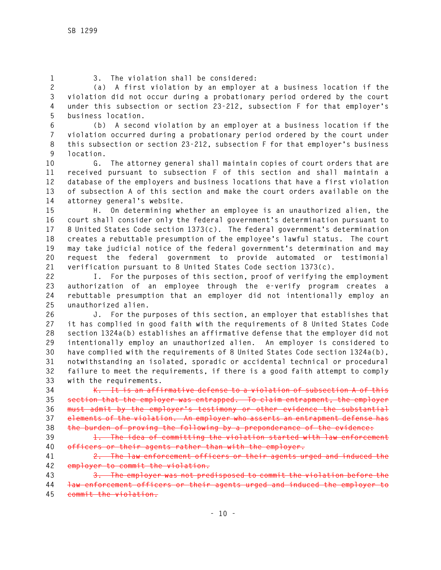- 
- **1 3. The violation shall be considered:**

**2 (a) A first violation by an employer at a business location if the 3 violation did not occur during a probationary period ordered by the court 4 under this subsection or section 23-212, subsection F for that employer's 5 business location.** 

**6 (b) A second violation by an employer at a business location if the 7 violation occurred during a probationary period ordered by the court under 8 this subsection or section 23-212, subsection F for that employer's business 9 location.** 

**10 G. The attorney general shall maintain copies of court orders that are 11 received pursuant to subsection F of this section and shall maintain a 12 database of the employers and business locations that have a first violation 13 of subsection A of this section and make the court orders available on the 14 attorney general's website.** 

**15 H. On determining whether an employee is an unauthorized alien, the 16 court shall consider only the federal government's determination pursuant to 17 8 United States Code section 1373(c). The federal government's determination 18 creates a rebuttable presumption of the employee's lawful status. The court 19 may take judicial notice of the federal government's determination and may 20 request the federal government to provide automated or testimonial 21 verification pursuant to 8 United States Code section 1373(c).** 

**22 I. For the purposes of this section, proof of verifying the employment 23 authorization of an employee through the e-verify program creates a 24 rebuttable presumption that an employer did not intentionally employ an 25 unauthorized alien.** 

**26 J. For the purposes of this section, an employer that establishes that 27 it has complied in good faith with the requirements of 8 United States Code 28 section 1324a(b) establishes an affirmative defense that the employer did not 29 intentionally employ an unauthorized alien. An employer is considered to 30 have complied with the requirements of 8 United States Code section 1324a(b), 31 notwithstanding an isolated, sporadic or accidental technical or procedural 32 failure to meet the requirements, if there is a good faith attempt to comply 33 with the requirements.** 

**34 K. It is an affirmative defense to a violation of subsection A of this 35 section that the employer was entrapped. To claim entrapment, the employer 36 must admit by the employer's testimony or other evidence the substantial 37 elements of the violation. An employer who asserts an entrapment defense has 38 the burden of proving the following by a preponderance of the evidence:** 

**39 1. The idea of committing the violation started with law enforcement 40 officers or their agents rather than with the employer.** 

**41 2. The law enforcement officers or their agents urged and induced the 42 employer to commit the violation.** 

**43 3. The employer was not predisposed to commit the violation before the 44 law enforcement officers or their agents urged and induced the employer to 45 commit the violation.**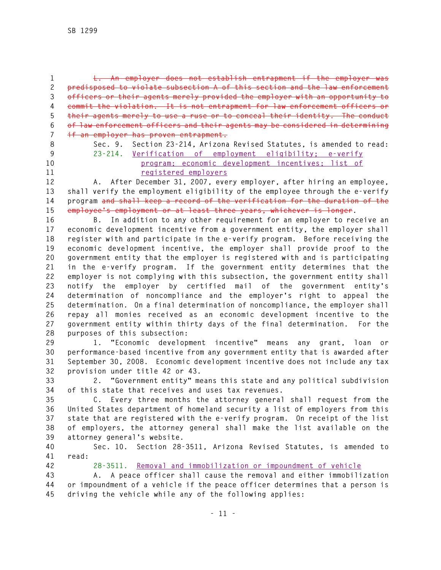**1 L. An employer does not establish entrapment if the employer was 2 predisposed to violate subsection A of this section and the law enforcement 3 officers or their agents merely provided the employer with an opportunity to 4 commit the violation. It is not entrapment for law enforcement officers or 5 their agents merely to use a ruse or to conceal their identity. The conduct 6 of law enforcement officers and their agents may be considered in determining 7 if an employer has proven entrapment.** 

- 
- 

**8 Sec. 9. Section 23-214, Arizona Revised Statutes, is amended to read: 9 23-214. Verification of employment eligibility; e-verify 10 program; economic development incentives; list of 11 registered employers**

**12 A. After December 31, 2007, every employer, after hiring an employee, 13 shall verify the employment eligibility of the employee through the e-verify 14 program and shall keep a record of the verification for the duration of the 15 employee's employment or at least three years, whichever is longer.** 

**16 B. In addition to any other requirement for an employer to receive an 17 economic development incentive from a government entity, the employer shall 18 register with and participate in the e-verify program. Before receiving the 19 economic development incentive, the employer shall provide proof to the 20 government entity that the employer is registered with and is participating 21 in the e-verify program. If the government entity determines that the 22 employer is not complying with this subsection, the government entity shall 23 notify the employer by certified mail of the government entity's 24 determination of noncompliance and the employer's right to appeal the 25 determination. On a final determination of noncompliance, the employer shall 26 repay all monies received as an economic development incentive to the 27 government entity within thirty days of the final determination. For the 28 purposes of this subsection:** 

**29 1. "Economic development incentive" means any grant, loan or 30 performance-based incentive from any government entity that is awarded after 31 September 30, 2008. Economic development incentive does not include any tax 32 provision under title 42 or 43.** 

**33 2. "Government entity" means this state and any political subdivision 34 of this state that receives and uses tax revenues.** 

**35 C. Every three months the attorney general shall request from the 36 United States department of homeland security a list of employers from this 37 state that are registered with the e-verify program. On receipt of the list 38 of employers, the attorney general shall make the list available on the 39 attorney general's website.** 

**40 Sec. 10. Section 28-3511, Arizona Revised Statutes, is amended to 41 read:** 

**42 28-3511. Removal and immobilization or impoundment of vehicle**

**43 A. A peace officer shall cause the removal and either immobilization 44 or impoundment of a vehicle if the peace officer determines that a person is 45 driving the vehicle while any of the following applies:**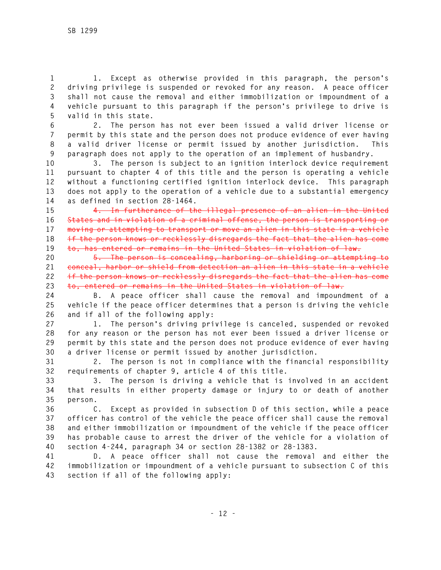**1 1. Except as otherwise provided in this paragraph, the person's 2 driving privilege is suspended or revoked for any reason. A peace officer 3 shall not cause the removal and either immobilization or impoundment of a 4 vehicle pursuant to this paragraph if the person's privilege to drive is 5 valid in this state.** 

**6 2. The person has not ever been issued a valid driver license or 7 permit by this state and the person does not produce evidence of ever having 8 a valid driver license or permit issued by another jurisdiction. This 9 paragraph does not apply to the operation of an implement of husbandry.** 

**10 3. The person is subject to an ignition interlock device requirement 11 pursuant to chapter 4 of this title and the person is operating a vehicle 12 without a functioning certified ignition interlock device. This paragraph 13 does not apply to the operation of a vehicle due to a substantial emergency 14 as defined in section 28-1464.** 

**15 4. In furtherance of the illegal presence of an alien in the United 16 States and in violation of a criminal offense, the person is transporting or 17 moving or attempting to transport or move an alien in this state in a vehicle 18 if the person knows or recklessly disregards the fact that the alien has come 19 to, has entered or remains in the United States in violation of law.** 

**20 5. The person is concealing, harboring or shielding or attempting to 21 conceal, harbor or shield from detection an alien in this state in a vehicle 22 if the person knows or recklessly disregards the fact that the alien has come 23 to, entered or remains in the United States in violation of law.** 

**24 B. A peace officer shall cause the removal and impoundment of a 25 vehicle if the peace officer determines that a person is driving the vehicle 26 and if all of the following apply:** 

**27 1. The person's driving privilege is canceled, suspended or revoked 28 for any reason or the person has not ever been issued a driver license or 29 permit by this state and the person does not produce evidence of ever having 30 a driver license or permit issued by another jurisdiction.** 

**31 2. The person is not in compliance with the financial responsibility 32 requirements of chapter 9, article 4 of this title.** 

**33 3. The person is driving a vehicle that is involved in an accident 34 that results in either property damage or injury to or death of another 35 person.** 

**36 C. Except as provided in subsection D of this section, while a peace 37 officer has control of the vehicle the peace officer shall cause the removal 38 and either immobilization or impoundment of the vehicle if the peace officer 39 has probable cause to arrest the driver of the vehicle for a violation of 40 section 4-244, paragraph 34 or section 28-1382 or 28-1383.** 

**41 D. A peace officer shall not cause the removal and either the 42 immobilization or impoundment of a vehicle pursuant to subsection C of this 43 section if all of the following apply:**